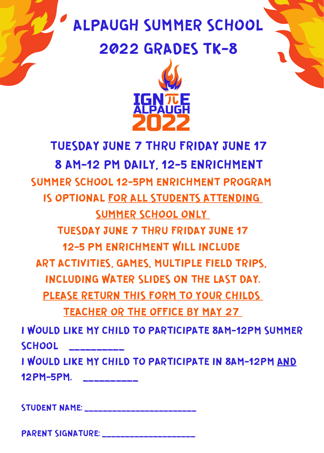## ALPAUGH SUMMER SCHOOL

## 2022 GRADES TK-8



## TUESDAY JUNE 7 THRU FRIDAY JUNE 17 8 AM-12 PM DAILY, 12-5 ENRICHMENT I WOULD LIKE MY CHILD TO PARTICIPATE 8AM-12PM SUMMER **SCHOOL** I WOULD LIKE MY CHILD TO PARTICIPATE IN 8AM-12PM AND SUMMER SCHOOL 12-5PM ENRICHMENT PROGRAM IS OPTIONAL FOR ALL STUDENTS ATTENDING SUMMER SCHOOL ONLY TUESDAY JUNE 7 THRU FRIDAY JUNE 17 12-5 PM ENRICHMENT WILL INCLUDE ART ACTIVITIES, GAMES, MULTIPLE FIELD TRIPS, INCLUDING WATER SLIDES ON THE LAST DAY. PLEASE RETURN THIS FORM TO YOUR CHILDS TEACHER OR THE OFFICE BY MAY 27

12PM-5PM. \_\_\_\_\_\_\_\_\_\_

STUDENT NAME:

PARENT SIGNATURE: